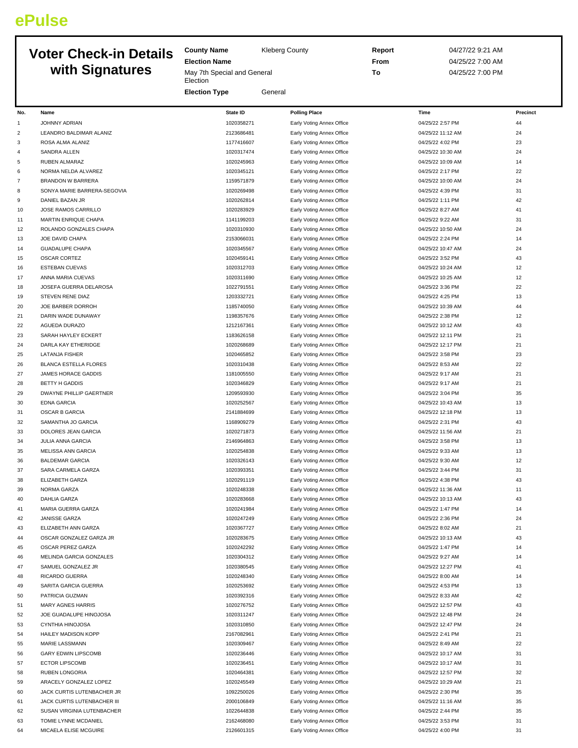## **ePulse**

## **Voter Check-in Details with Signatures**

**County Name** Kleberg County

**Election Name**

**Election** 

May 7th Special and General

**Election Type General** 

**Report** 04/27/22 9:21 AM **From** 04/25/22 7:00 AM **To** 04/25/22 7:00 PM

| No.            | Name                           | State ID   | <b>Polling Place</b>      | Time              | Precinct |
|----------------|--------------------------------|------------|---------------------------|-------------------|----------|
| 1              | JOHNNY ADRIAN                  | 1020358271 | Early Voting Annex Office | 04/25/22 2:57 PM  | 44       |
| $\overline{2}$ | LEANDRO BALDIMAR ALANIZ        | 2123686481 | Early Voting Annex Office | 04/25/22 11:12 AM | 24       |
| 3              | ROSA ALMA ALANIZ               | 1177416607 | Early Voting Annex Office | 04/25/22 4:02 PM  | 23       |
| 4              | SANDRA ALLEN                   | 1020317474 | Early Voting Annex Office | 04/25/22 10:30 AM | 24       |
| 5              | RUBEN ALMARAZ                  | 1020245963 | Early Voting Annex Office | 04/25/22 10:09 AM | 14       |
| 6              | NORMA NELDA ALVAREZ            | 1020345121 | Early Voting Annex Office | 04/25/22 2:17 PM  | 22       |
| $\overline{7}$ | <b>BRANDON W BARRERA</b>       | 1159571879 | Early Voting Annex Office | 04/25/22 10:00 AM | 24       |
| 8              | SONYA MARIE BARRERA-SEGOVIA    | 1020269498 | Early Voting Annex Office | 04/25/22 4:39 PM  | 31       |
| 9              | DANIEL BAZAN JR                | 1020262814 | Early Voting Annex Office | 04/25/22 1:11 PM  | 42       |
| 10             | JOSE RAMOS CARRILLO            | 1020283929 | Early Voting Annex Office | 04/25/22 8:27 AM  | 41       |
| 11             | MARTIN ENRIQUE CHAPA           | 1141199203 | Early Voting Annex Office | 04/25/22 9:22 AM  | 31       |
| 12             | ROLANDO GONZALES CHAPA         | 1020310930 | Early Voting Annex Office | 04/25/22 10:50 AM | 24       |
| 13             | JOE DAVID CHAPA                | 2153066031 | Early Voting Annex Office | 04/25/22 2:24 PM  | 14       |
| 14             | <b>GUADALUPE CHAPA</b>         | 1020345567 | Early Voting Annex Office | 04/25/22 10:47 AM | 24       |
| 15             | <b>OSCAR CORTEZ</b>            | 1020459141 |                           | 04/25/22 3:52 PM  | 43       |
|                |                                |            | Early Voting Annex Office |                   |          |
| 16             | <b>ESTEBAN CUEVAS</b>          | 1020312703 | Early Voting Annex Office | 04/25/22 10:24 AM | 12       |
| 17             | ANNA MARIA CUEVAS              | 1020311690 | Early Voting Annex Office | 04/25/22 10:25 AM | 12       |
| 18             | JOSEFA GUERRA DELAROSA         | 1022791551 | Early Voting Annex Office | 04/25/22 3:36 PM  | 22       |
| 19             | STEVEN RENE DIAZ               | 1203332721 | Early Voting Annex Office | 04/25/22 4:25 PM  | 13       |
| 20             | JOE BARBER DORROH              | 1185740050 | Early Voting Annex Office | 04/25/22 10:39 AM | 44       |
| 21             | DARIN WADE DUNAWAY             | 1198357676 | Early Voting Annex Office | 04/25/22 2:38 PM  | 12       |
| 22             | AGUEDA DURAZO                  | 1212167361 | Early Voting Annex Office | 04/25/22 10:12 AM | 43       |
| 23             | SARAH HAYLEY ECKERT            | 1183626158 | Early Voting Annex Office | 04/25/22 12:11 PM | 21       |
| 24             | DARLA KAY ETHERIDGE            | 1020268689 | Early Voting Annex Office | 04/25/22 12:17 PM | 21       |
| 25             | <b>LATANJA FISHER</b>          | 1020465852 | Early Voting Annex Office | 04/25/22 3:58 PM  | 23       |
| 26             | <b>BLANCA ESTELLA FLORES</b>   | 1020310438 | Early Voting Annex Office | 04/25/22 8:53 AM  | 22       |
| 27             | JAMES HORACE GADDIS            | 1181005550 | Early Voting Annex Office | 04/25/22 9:17 AM  | 21       |
| 28             | <b>BETTY H GADDIS</b>          | 1020346829 | Early Voting Annex Office | 04/25/22 9:17 AM  | 21       |
| 29             | <b>DWAYNE PHILLIP GAERTNER</b> | 1209593930 | Early Voting Annex Office | 04/25/22 3:04 PM  | 35       |
| 30             | <b>EDNA GARCIA</b>             | 1020252567 | Early Voting Annex Office | 04/25/22 10:43 AM | 13       |
| 31             | OSCAR B GARCIA                 | 2141884699 | Early Voting Annex Office | 04/25/22 12:18 PM | 13       |
| 32             | SAMANTHA JO GARCIA             | 1168909279 | Early Voting Annex Office | 04/25/22 2:31 PM  | 43       |
| 33             | DOLORES JEAN GARCIA            | 1020271873 | Early Voting Annex Office | 04/25/22 11:56 AM | 21       |
| 34             | JULIA ANNA GARCIA              | 2146964863 | Early Voting Annex Office | 04/25/22 3:58 PM  | 13       |
| 35             | MELISSA ANN GARCIA             | 1020254838 | Early Voting Annex Office | 04/25/22 9:33 AM  | 13       |
| 36             | <b>BALDEMAR GARCIA</b>         | 1020326143 | Early Voting Annex Office | 04/25/22 9:30 AM  | 12       |
| 37             | SARA CARMELA GARZA             | 1020393351 | Early Voting Annex Office | 04/25/22 3:44 PM  | 31       |
| 38             | ELIZABETH GARZA                | 1020291119 | Early Voting Annex Office | 04/25/22 4:38 PM  | 43       |
| 39             | NORMA GARZA                    | 1020248338 | Early Voting Annex Office | 04/25/22 11:36 AM | 11       |
| 40             | DAHLIA GARZA                   | 1020283668 | Early Voting Annex Office | 04/25/22 10:13 AM | 43       |
| 41             | MARIA GUERRA GARZA             | 1020241984 | Early Voting Annex Office | 04/25/22 1:47 PM  | 14       |
| 42             | <b>JANISSE GARZA</b>           | 1020247249 | Early Voting Annex Office | 04/25/22 2:36 PM  | 24       |
| 43             | ELIZABETH ANN GARZA            | 1020367727 | Early Voting Annex Office | 04/25/22 8:02 AM  | 21       |
| 44             | OSCAR GONZALEZ GARZA JR        | 1020283675 | Early Voting Annex Office | 04/25/22 10:13 AM | 43       |
| 45             | OSCAR PEREZ GARZA              | 1020242292 | Early Voting Annex Office | 04/25/22 1:47 PM  | 14       |
| 46             | MELINDA GARCIA GONZALES        | 1020304312 | Early Voting Annex Office | 04/25/22 9:27 AM  | 14       |
| 47             | SAMUEL GONZALEZ JR             | 1020380545 | Early Voting Annex Office | 04/25/22 12:27 PM | 41       |
|                | RICARDO GUERRA                 | 1020248340 |                           |                   | 14       |
| 48             |                                |            | Early Voting Annex Office | 04/25/22 8:00 AM  |          |
| 49             | SARITA GARCIA GUERRA           | 1020253692 | Early Voting Annex Office | 04/25/22 4:53 PM  | 13       |
| 50             | PATRICIA GUZMAN                | 1020392316 | Early Voting Annex Office | 04/25/22 8:33 AM  | 42       |
| 51             | MARY AGNES HARRIS              | 1020276752 | Early Voting Annex Office | 04/25/22 12:57 PM | 43       |
| 52             | JOE GUADALUPE HINOJOSA         | 1020311247 | Early Voting Annex Office | 04/25/22 12:48 PM | 24       |
| 53             | CYNTHIA HINOJOSA               | 1020310850 | Early Voting Annex Office | 04/25/22 12:47 PM | 24       |
| 54             | HAILEY MADISON KOPP            | 2167082961 | Early Voting Annex Office | 04/25/22 2:41 PM  | 21       |
| 55             | MARIE LASSMANN                 | 1020309467 | Early Voting Annex Office | 04/25/22 8:49 AM  | 22       |
| 56             | <b>GARY EDWIN LIPSCOMB</b>     | 1020236446 | Early Voting Annex Office | 04/25/22 10:17 AM | 31       |
| 57             | <b>ECTOR LIPSCOMB</b>          | 1020236451 | Early Voting Annex Office | 04/25/22 10:17 AM | 31       |
| 58             | RUBEN LONGORIA                 | 1020464381 | Early Voting Annex Office | 04/25/22 12:57 PM | 32       |
| 59             | ARACELY GONZALEZ LOPEZ         | 1020245549 | Early Voting Annex Office | 04/25/22 10:29 AM | 21       |
| 60             | JACK CURTIS LUTENBACHER JR     | 1092250026 | Early Voting Annex Office | 04/25/22 2:30 PM  | 35       |
| 61             | JACK CURTIS LUTENBACHER III    | 2000106849 | Early Voting Annex Office | 04/25/22 11:16 AM | 35       |
| 62             | SUSAN VIRGINIA LUTENBACHER     | 1022644838 | Early Voting Annex Office | 04/25/22 2:44 PM  | 35       |
| 63             | TOMIE LYNNE MCDANIEL           | 2162468080 | Early Voting Annex Office | 04/25/22 3:53 PM  | 31       |
| 64             | MICAELA ELISE MCGUIRE          | 2126601315 | Early Voting Annex Office | 04/25/22 4:00 PM  | 31       |